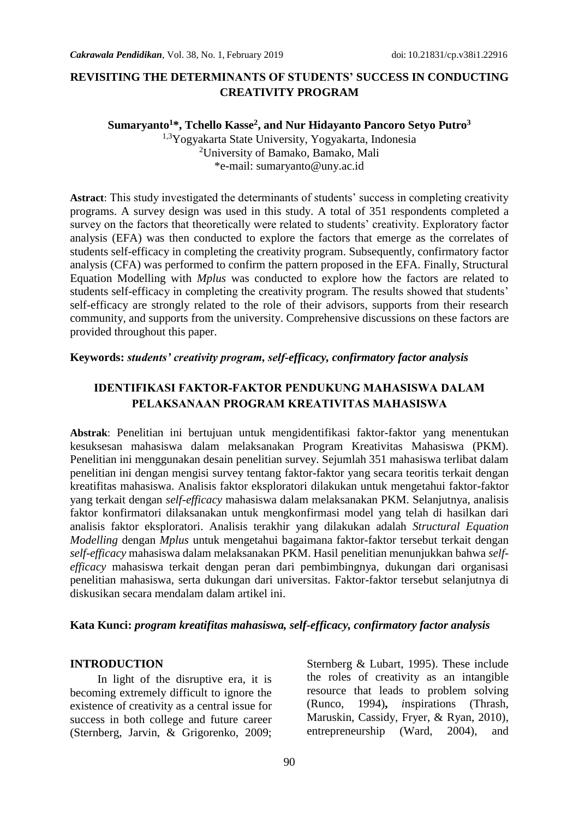### **REVISITING THE DETERMINANTS OF STUDENTS' SUCCESS IN CONDUCTING CREATIVITY PROGRAM**

#### **Sumaryanto<sup>1</sup>\*, Tchello Kasse<sup>2</sup> , and Nur Hidayanto Pancoro Setyo Putro<sup>3</sup>**

1,3Yogyakarta State University, Yogyakarta, Indonesia <sup>2</sup>University of Bamako, Bamako, Mali \*e-mail: sumaryanto@uny.ac.id

**Astract**: This study investigated the determinants of students' success in completing creativity programs. A survey design was used in this study. A total of 351 respondents completed a survey on the factors that theoretically were related to students' creativity. Exploratory factor analysis (EFA) was then conducted to explore the factors that emerge as the correlates of students self-efficacy in completing the creativity program. Subsequently, confirmatory factor analysis (CFA) was performed to confirm the pattern proposed in the EFA. Finally, Structural Equation Modelling with *Mplus* was conducted to explore how the factors are related to students self-efficacy in completing the creativity program. The results showed that students' self-efficacy are strongly related to the role of their advisors, supports from their research community, and supports from the university. Comprehensive discussions on these factors are provided throughout this paper.

#### **Keywords:** *students' creativity program, self-efficacy, confirmatory factor analysis*

### **IDENTIFIKASI FAKTOR-FAKTOR PENDUKUNG MAHASISWA DALAM PELAKSANAAN PROGRAM KREATIVITAS MAHASISWA**

**Abstrak**: Penelitian ini bertujuan untuk mengidentifikasi faktor-faktor yang menentukan kesuksesan mahasiswa dalam melaksanakan Program Kreativitas Mahasiswa (PKM). Penelitian ini menggunakan desain penelitian survey. Sejumlah 351 mahasiswa terlibat dalam penelitian ini dengan mengisi survey tentang faktor-faktor yang secara teoritis terkait dengan kreatifitas mahasiswa. Analisis faktor eksploratori dilakukan untuk mengetahui faktor-faktor yang terkait dengan *self-efficacy* mahasiswa dalam melaksanakan PKM. Selanjutnya, analisis faktor konfirmatori dilaksanakan untuk mengkonfirmasi model yang telah di hasilkan dari analisis faktor eksploratori. Analisis terakhir yang dilakukan adalah *Structural Equation Modelling* dengan *Mplus* untuk mengetahui bagaimana faktor-faktor tersebut terkait dengan *self-efficacy* mahasiswa dalam melaksanakan PKM. Hasil penelitian menunjukkan bahwa *selfefficacy* mahasiswa terkait dengan peran dari pembimbingnya, dukungan dari organisasi penelitian mahasiswa, serta dukungan dari universitas. Faktor-faktor tersebut selanjutnya di diskusikan secara mendalam dalam artikel ini.

#### **Kata Kunci:** *program kreatifitas mahasiswa, self-efficacy, confirmatory factor analysis*

#### **INTRODUCTION**

In light of the disruptive era, it is becoming extremely difficult to ignore the existence of creativity as a central issue for success in both college and future career (Sternberg, Jarvin, & Grigorenko, 2009; Sternberg & Lubart, 1995). These include the roles of creativity as an intangible resource that leads to problem solving (Runco, 1994)**,** *i*nspirations (Thrash, Maruskin, Cassidy, Fryer, & Ryan, 2010), entrepreneurship (Ward, 2004), and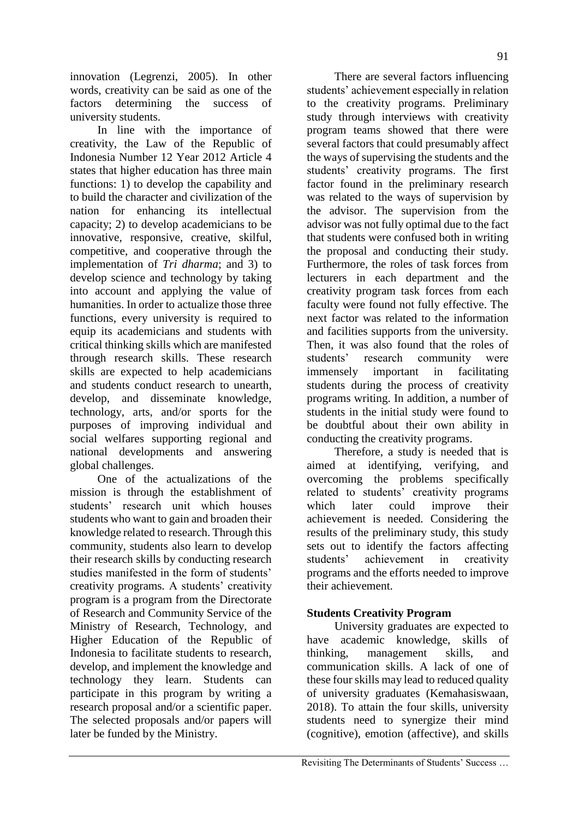innovation (Legrenzi, 2005). In other words, creativity can be said as one of the factors determining the success of university students.

In line with the importance of creativity, the Law of the Republic of Indonesia Number 12 Year 2012 Article 4 states that higher education has three main functions: 1) to develop the capability and to build the character and civilization of the nation for enhancing its intellectual capacity; 2) to develop academicians to be innovative, responsive, creative, skilful, competitive, and cooperative through the implementation of *Tri dharma*; and 3) to develop science and technology by taking into account and applying the value of humanities. In order to actualize those three functions, every university is required to equip its academicians and students with critical thinking skills which are manifested through research skills. These research skills are expected to help academicians and students conduct research to unearth, develop, and disseminate knowledge, technology, arts, and/or sports for the purposes of improving individual and social welfares supporting regional and national developments and answering global challenges.

One of the actualizations of the mission is through the establishment of students' research unit which houses students who want to gain and broaden their knowledge related to research. Through this community, students also learn to develop their research skills by conducting research studies manifested in the form of students' creativity programs*.* A students' creativity program is a program from the Directorate of Research and Community Service of the Ministry of Research, Technology, and Higher Education of the Republic of Indonesia to facilitate students to research, develop, and implement the knowledge and technology they learn. Students can participate in this program by writing a research proposal and/or a scientific paper. The selected proposals and/or papers will later be funded by the Ministry.

There are several factors influencing students' achievement especially in relation to the creativity programs. Preliminary study through interviews with creativity program teams showed that there were several factors that could presumably affect the ways of supervising the students and the students' creativity programs. The first factor found in the preliminary research was related to the ways of supervision by the advisor. The supervision from the advisor was not fully optimal due to the fact that students were confused both in writing the proposal and conducting their study. Furthermore, the roles of task forces from lecturers in each department and the creativity program task forces from each faculty were found not fully effective. The next factor was related to the information and facilities supports from the university. Then, it was also found that the roles of students' research community were immensely important in facilitating students during the process of creativity programs writing. In addition, a number of students in the initial study were found to be doubtful about their own ability in conducting the creativity programs.

Therefore, a study is needed that is aimed at identifying, verifying, and overcoming the problems specifically related to students' creativity programs which later could improve their achievement is needed. Considering the results of the preliminary study, this study sets out to identify the factors affecting students' achievement in creativity programs and the efforts needed to improve their achievement.

# **Students Creativity Program**

University graduates are expected to have academic knowledge, skills of thinking, management skills, and communication skills. A lack of one of these fourskills may lead to reduced quality of university graduates (Kemahasiswaan, 2018). To attain the four skills, university students need to synergize their mind (cognitive), emotion (affective), and skills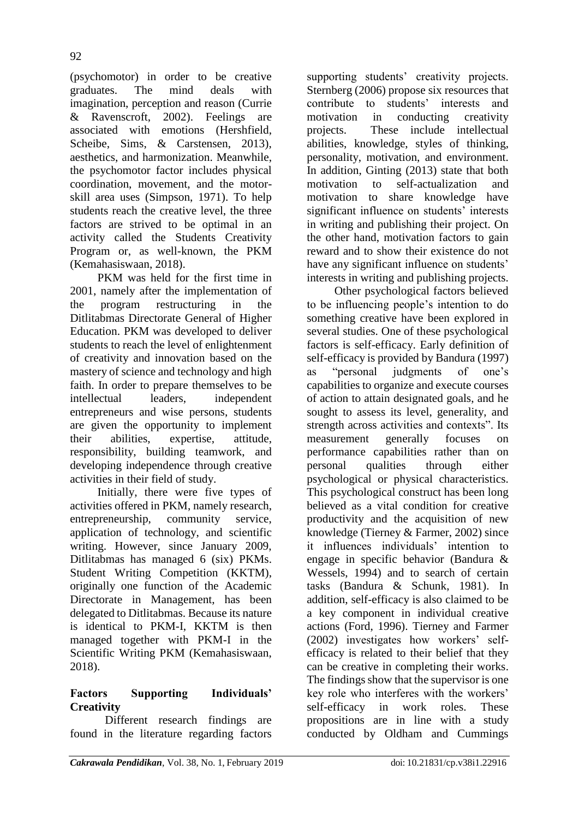(psychomotor) in order to be creative graduates. The mind deals with imagination, perception and reason (Currie & Ravenscroft, 2002). Feelings are associated with emotions (Hershfield, Scheibe, Sims, & Carstensen, 2013), aesthetics, and harmonization. Meanwhile, the psychomotor factor includes physical coordination, movement, and the motorskill area uses (Simpson, 1971). To help students reach the creative level, the three factors are strived to be optimal in an activity called the Students Creativity Program or, as well-known, the PKM (Kemahasiswaan, 2018).

PKM was held for the first time in 2001, namely after the implementation of the program restructuring in the Ditlitabmas Directorate General of Higher Education. PKM was developed to deliver students to reach the level of enlightenment of creativity and innovation based on the mastery of science and technology and high faith. In order to prepare themselves to be intellectual leaders, independent entrepreneurs and wise persons, students are given the opportunity to implement their abilities, expertise, attitude, responsibility, building teamwork, and developing independence through creative activities in their field of study.

Initially, there were five types of activities offered in PKM, namely research, entrepreneurship, community service, application of technology, and scientific writing. However, since January 2009, Ditlitabmas has managed 6 (six) PKMs. Student Writing Competition (KKTM), originally one function of the Academic Directorate in Management, has been delegated to Ditlitabmas. Because its nature is identical to PKM-I, KKTM is then managed together with PKM-I in the Scientific Writing PKM (Kemahasiswaan, 2018).

# **Factors Supporting Individuals' Creativity**

Different research findings are found in the literature regarding factors

supporting students' creativity projects. Sternberg (2006) propose six resources that<br>contribute to students' interests and contribute to students' motivation in conducting creativity projects. These include intellectual abilities, knowledge, styles of thinking, personality, motivation, and environment. In addition, Ginting (2013) state that both motivation to self-actualization and motivation to share knowledge have significant influence on students' interests in writing and publishing their project. On the other hand, motivation factors to gain reward and to show their existence do not have any significant influence on students' interests in writing and publishing projects.

Other psychological factors believed to be influencing people's intention to do something creative have been explored in several studies. One of these psychological factors is self-efficacy. Early definition of self-efficacy is provided by Bandura (1997) as "personal judgments of one's capabilities to organize and execute courses of action to attain designated goals, and he sought to assess its level, generality, and strength across activities and contexts". Its measurement generally focuses on performance capabilities rather than on personal qualities through either psychological or physical characteristics. This psychological construct has been long believed as a vital condition for creative productivity and the acquisition of new knowledge (Tierney & Farmer, 2002) since it influences individuals' intention to engage in specific behavior (Bandura & Wessels, 1994) and to search of certain tasks (Bandura & Schunk, 1981). In addition, self-efficacy is also claimed to be a key component in individual creative actions (Ford, 1996). Tierney and Farmer (2002) investigates how workers' selfefficacy is related to their belief that they can be creative in completing their works. The findings show that the supervisor is one key role who interferes with the workers' self-efficacy in work roles. These propositions are in line with a study conducted by Oldham and Cummings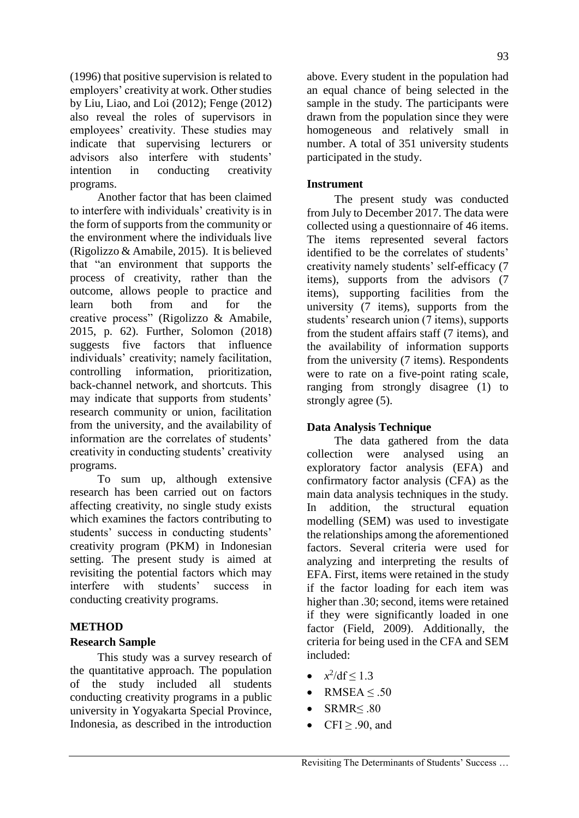(1996) that positive supervision is related to employers' creativity at work. Other studies by Liu, Liao, and Loi (2012); Fenge (2012) also reveal the roles of supervisors in employees' creativity. These studies may indicate that supervising lecturers or advisors also interfere with students' intention in conducting creativity programs.

Another factor that has been claimed to interfere with individuals' creativity is in the form of supports from the community or the environment where the individuals live (Rigolizzo & Amabile, 2015). It is believed that "an environment that supports the process of creativity, rather than the outcome, allows people to practice and learn both from and for the creative process" (Rigolizzo & Amabile, 2015, p. 62). Further, Solomon (2018) suggests five factors that influence individuals' creativity; namely facilitation, controlling information, prioritization, back-channel network, and shortcuts. This may indicate that supports from students' research community or union, facilitation from the university, and the availability of information are the correlates of students' creativity in conducting students' creativity programs.

To sum up, although extensive research has been carried out on factors affecting creativity, no single study exists which examines the factors contributing to students' success in conducting students' creativity program (PKM) in Indonesian setting. The present study is aimed at revisiting the potential factors which may interfere with students' success in conducting creativity programs.

#### **METHOD**

### **Research Sample**

This study was a survey research of the quantitative approach. The population of the study included all students conducting creativity programs in a public university in Yogyakarta Special Province, Indonesia, as described in the introduction

above. Every student in the population had an equal chance of being selected in the sample in the study. The participants were drawn from the population since they were homogeneous and relatively small in number. A total of 351 university students participated in the study.

#### **Instrument**

The present study was conducted from July to December 2017. The data were collected using a questionnaire of 46 items. The items represented several factors identified to be the correlates of students' creativity namely students' self-efficacy (7 items), supports from the advisors (7 items), supporting facilities from the university (7 items), supports from the students' research union (7 items), supports from the student affairs staff (7 items), and the availability of information supports from the university (7 items). Respondents were to rate on a five-point rating scale, ranging from strongly disagree (1) to strongly agree (5).

### **Data Analysis Technique**

The data gathered from the data collection were analysed using an exploratory factor analysis (EFA) and confirmatory factor analysis (CFA) as the main data analysis techniques in the study. In addition, the structural equation modelling (SEM) was used to investigate the relationships among the aforementioned factors. Several criteria were used for analyzing and interpreting the results of EFA. First, items were retained in the study if the factor loading for each item was higher than .30; second, items were retained if they were significantly loaded in one factor (Field, 2009). Additionally, the criteria for being used in the CFA and SEM included:

- $x^2/df \le 1.3$
- RMSEA  $\leq$  .50
- SRMR≤ .80
- CFI $\geq$  .90, and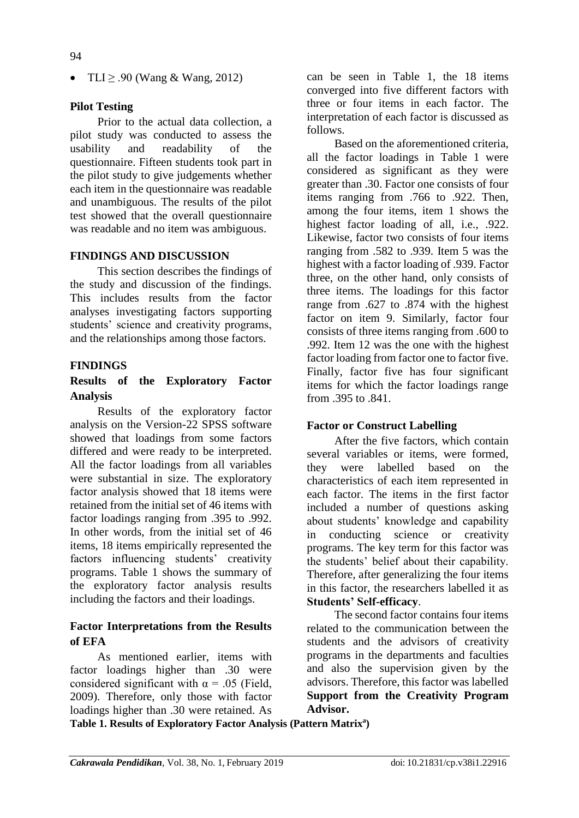• TLI  $\geq$  .90 (Wang & Wang, 2012)

#### **Pilot Testing**

Prior to the actual data collection, a pilot study was conducted to assess the usability and readability of the questionnaire. Fifteen students took part in the pilot study to give judgements whether each item in the questionnaire was readable and unambiguous. The results of the pilot test showed that the overall questionnaire was readable and no item was ambiguous.

#### **FINDINGS AND DISCUSSION**

This section describes the findings of the study and discussion of the findings. This includes results from the factor analyses investigating factors supporting students' science and creativity programs, and the relationships among those factors.

#### **FINDINGS**

### **Results of the Exploratory Factor Analysis**

Results of the exploratory factor analysis on the Version-22 SPSS software showed that loadings from some factors differed and were ready to be interpreted. All the factor loadings from all variables were substantial in size. The exploratory factor analysis showed that 18 items were retained from the initial set of 46 items with factor loadings ranging from .395 to .992. In other words, from the initial set of 46 items, 18 items empirically represented the factors influencing students' creativity programs. Table 1 shows the summary of the exploratory factor analysis results including the factors and their loadings.

### **Factor Interpretations from the Results of EFA**

As mentioned earlier, items with factor loadings higher than .30 were considered significant with  $\alpha = .05$  (Field, 2009). Therefore, only those with factor loadings higher than .30 were retained. As

can be seen in Table 1, the 18 items converged into five different factors with three or four items in each factor. The interpretation of each factor is discussed as follows.

Based on the aforementioned criteria, all the factor loadings in Table 1 were considered as significant as they were greater than .30. Factor one consists of four items ranging from .766 to .922. Then, among the four items, item 1 shows the highest factor loading of all, i.e., .922. Likewise, factor two consists of four items ranging from .582 to .939. Item 5 was the highest with a factor loading of .939. Factor three, on the other hand, only consists of three items. The loadings for this factor range from .627 to .874 with the highest factor on item 9. Similarly, factor four consists of three items ranging from .600 to .992. Item 12 was the one with the highest factor loading from factor one to factor five. Finally, factor five has four significant items for which the factor loadings range from .395 to .841.

#### **Factor or Construct Labelling**

After the five factors, which contain several variables or items, were formed, they were labelled based on the characteristics of each item represented in each factor. The items in the first factor included a number of questions asking about students' knowledge and capability in conducting science or creativity programs. The key term for this factor was the students' belief about their capability. Therefore, after generalizing the four items in this factor, the researchers labelled it as **Students' Self-efficacy**.

The second factor contains four items related to the communication between the students and the advisors of creativity programs in the departments and faculties and also the supervision given by the advisors. Therefore, this factor was labelled **Support from the Creativity Program Advisor.**

**Table 1. Results of Exploratory Factor Analysis (Pattern Matrix<sup>a</sup> )**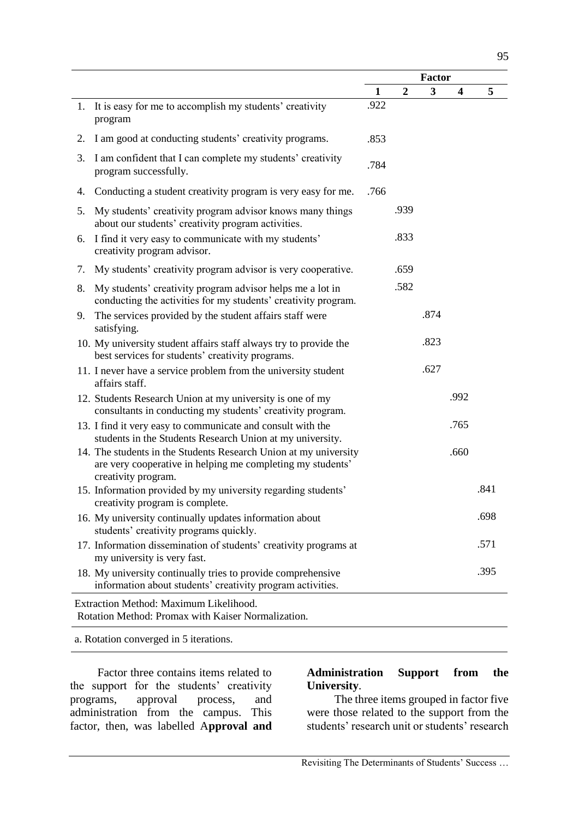|                                                                                                                                                       |              | <b>Factor</b>  |                         |      |      |  |  |  |
|-------------------------------------------------------------------------------------------------------------------------------------------------------|--------------|----------------|-------------------------|------|------|--|--|--|
|                                                                                                                                                       | $\mathbf{1}$ | $\overline{2}$ | $\overline{\mathbf{3}}$ | 4    | 5    |  |  |  |
| 1. It is easy for me to accomplish my students' creativity<br>program                                                                                 | .922         |                |                         |      |      |  |  |  |
| 2. I am good at conducting students' creativity programs.                                                                                             | .853         |                |                         |      |      |  |  |  |
| I am confident that I can complete my students' creativity<br>3.<br>program successfully.                                                             | .784         |                |                         |      |      |  |  |  |
| Conducting a student creativity program is very easy for me.<br>4.                                                                                    | .766         |                |                         |      |      |  |  |  |
| My students' creativity program advisor knows many things<br>5.<br>about our students' creativity program activities.                                 |              | .939           |                         |      |      |  |  |  |
| I find it very easy to communicate with my students'<br>6.<br>creativity program advisor.                                                             |              | .833           |                         |      |      |  |  |  |
| My students' creativity program advisor is very cooperative.<br>7.                                                                                    |              | .659           |                         |      |      |  |  |  |
| My students' creativity program advisor helps me a lot in<br>8.<br>conducting the activities for my students' creativity program.                     |              | .582           |                         |      |      |  |  |  |
| 9. The services provided by the student affairs staff were<br>satisfying.                                                                             |              |                | .874                    |      |      |  |  |  |
| 10. My university student affairs staff always try to provide the<br>best services for students' creativity programs.                                 |              |                | .823                    |      |      |  |  |  |
| 11. I never have a service problem from the university student<br>affairs staff.                                                                      |              |                | .627                    |      |      |  |  |  |
| 12. Students Research Union at my university is one of my<br>consultants in conducting my students' creativity program.                               |              |                |                         | .992 |      |  |  |  |
| 13. I find it very easy to communicate and consult with the<br>students in the Students Research Union at my university.                              |              |                |                         | .765 |      |  |  |  |
| 14. The students in the Students Research Union at my university<br>are very cooperative in helping me completing my students'<br>creativity program. |              |                |                         | .660 |      |  |  |  |
| 15. Information provided by my university regarding students'<br>creativity program is complete.                                                      |              |                |                         |      | .841 |  |  |  |
| 16. My university continually updates information about<br>students' creativity programs quickly.                                                     |              |                |                         |      | .698 |  |  |  |
| 17. Information dissemination of students' creativity programs at<br>my university is very fast.                                                      |              |                |                         |      | .571 |  |  |  |
| 18. My university continually tries to provide comprehensive<br>information about students' creativity program activities.                            |              |                |                         |      | .395 |  |  |  |
| Extraction Method: Maximum Likelihood.<br>Rotation Method: Promax with Kaiser Normalization.                                                          |              |                |                         |      |      |  |  |  |

a. Rotation converged in 5 iterations.

Factor three contains items related to the support for the students' creativity<br>programs, approval process, and programs, approval process, and administration from the campus. This factor, then, was labelled A**pproval and** 

### **Administration Support from the University**.

The three items grouped in factor five were those related to the support from the students' research unit or students' research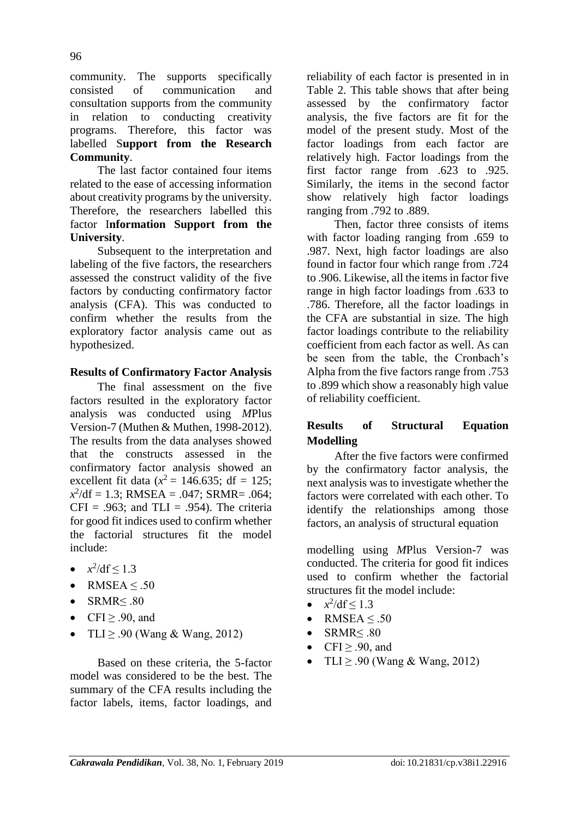community. The supports specifically consisted of communication and consultation supports from the community in relation to conducting creativity programs. Therefore, this factor was labelled S**upport from the Research Community**.

The last factor contained four items related to the ease of accessing information about creativity programs by the university. Therefore, the researchers labelled this factor I**nformation Support from the University**.

Subsequent to the interpretation and labeling of the five factors, the researchers assessed the construct validity of the five factors by conducting confirmatory factor analysis (CFA). This was conducted to confirm whether the results from the exploratory factor analysis came out as hypothesized.

### **Results of Confirmatory Factor Analysis**

The final assessment on the five factors resulted in the exploratory factor analysis was conducted using *M*Plus Version-7 (Muthen & Muthen, 1998-2012). The results from the data analyses showed that the constructs assessed in the confirmatory factor analysis showed an excellent fit data  $(x^2 = 146.635; df = 125;$  $x^2$ /df = 1.3; RMSEA = .047; SRMR= .064;  $CFI = .963$ ; and  $TLI = .954$ ). The criteria for good fit indices used to confirm whether the factorial structures fit the model include:

- $x^2/\text{df} \leq 1.3$
- RMSEA  $\leq .50$
- $\bullet$  SRMR<.80
- $\bullet$  CFI > .90, and
- TLI  $\geq$  .90 (Wang & Wang, 2012)

Based on these criteria, the 5-factor model was considered to be the best. The summary of the CFA results including the factor labels, items, factor loadings, and reliability of each factor is presented in in Table 2. This table shows that after being assessed by the confirmatory factor analysis, the five factors are fit for the model of the present study. Most of the factor loadings from each factor are relatively high. Factor loadings from the first factor range from .623 to .925. Similarly, the items in the second factor show relatively high factor loadings ranging from .792 to .889.

Then, factor three consists of items with factor loading ranging from .659 to .987. Next, high factor loadings are also found in factor four which range from .724 to .906. Likewise, all the items in factor five range in high factor loadings from .633 to .786. Therefore, all the factor loadings in the CFA are substantial in size. The high factor loadings contribute to the reliability coefficient from each factor as well. As can be seen from the table, the Cronbach's Alpha from the five factors range from .753 to .899 which show a reasonably high value of reliability coefficient.

# **Results of Structural Equation Modelling**

After the five factors were confirmed by the confirmatory factor analysis, the next analysis was to investigate whether the factors were correlated with each other. To identify the relationships among those factors, an analysis of structural equation

modelling using *M*Plus Version-7 was conducted. The criteria for good fit indices used to confirm whether the factorial structures fit the model include:

- $x^2/\text{df} \leq 1.3$
- RMSEA  $\leq .50$
- $\bullet$  SRMR $\leq .80$
- CFI $\geq$  .90, and
- TLI  $\geq$  .90 (Wang & Wang, 2012)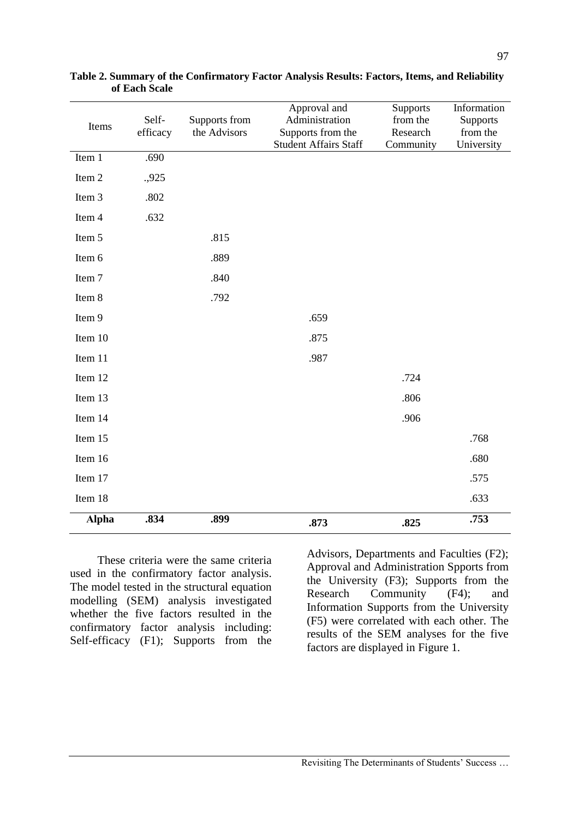| Items        | Self-<br>efficacy | Supports from<br>the Advisors | Approval and<br>Administration<br>Supports from the | Supports<br>from the<br>Research | Information<br>Supports<br>from the |
|--------------|-------------------|-------------------------------|-----------------------------------------------------|----------------------------------|-------------------------------------|
|              |                   |                               | <b>Student Affairs Staff</b>                        | Community                        | University                          |
| Item 1       | .690              |                               |                                                     |                                  |                                     |
| Item 2       | .,925             |                               |                                                     |                                  |                                     |
| Item 3       | .802              |                               |                                                     |                                  |                                     |
| Item 4       | .632              |                               |                                                     |                                  |                                     |
| Item 5       |                   | .815                          |                                                     |                                  |                                     |
| Item 6       |                   | .889                          |                                                     |                                  |                                     |
| Item 7       |                   | .840                          |                                                     |                                  |                                     |
| Item 8       |                   | .792                          |                                                     |                                  |                                     |
| Item 9       |                   |                               | .659                                                |                                  |                                     |
| Item 10      |                   |                               | .875                                                |                                  |                                     |
| Item 11      |                   |                               | .987                                                |                                  |                                     |
| Item 12      |                   |                               |                                                     | .724                             |                                     |
| Item 13      |                   |                               |                                                     | .806                             |                                     |
| Item 14      |                   |                               |                                                     | .906                             |                                     |
| Item 15      |                   |                               |                                                     |                                  | .768                                |
| Item 16      |                   |                               |                                                     |                                  | .680                                |
| Item 17      |                   |                               |                                                     |                                  | .575                                |
| Item 18      |                   |                               |                                                     |                                  | .633                                |
| <b>Alpha</b> | .834              | .899                          | .873                                                | .825                             | .753                                |

**Table 2. Summary of the Confirmatory Factor Analysis Results: Factors, Items, and Reliability of Each Scale**

These criteria were the same criteria used in the confirmatory factor analysis. The model tested in the structural equation modelling (SEM) analysis investigated whether the five factors resulted in the confirmatory factor analysis including: Self-efficacy (F1); Supports from the

Advisors, Departments and Faculties (F2); Approval and Administration Spports from the University (F3); Supports from the Research Community (F4); and Information Supports from the University (F5) were correlated with each other. The results of the SEM analyses for the five factors are displayed in Figure 1.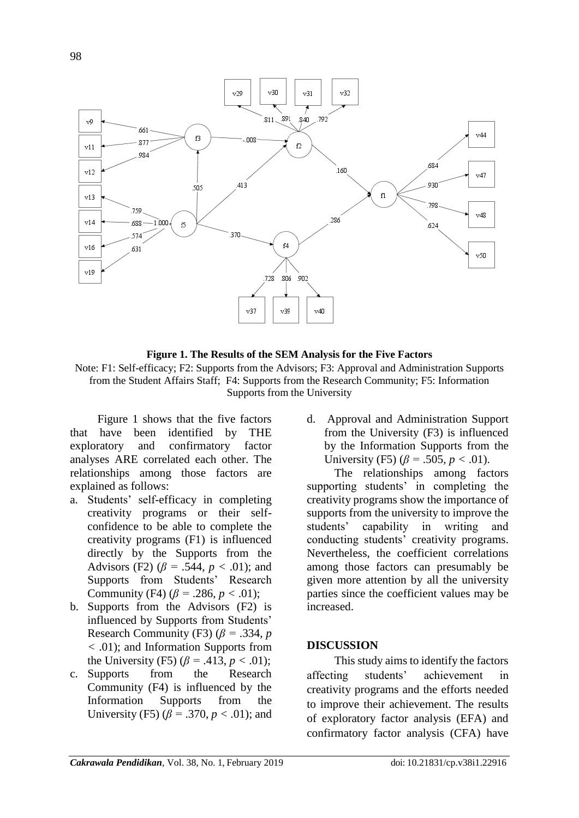

**Figure 1. The Results of the SEM Analysis for the Five Factors**

Note: F1: Self-efficacy; F2: Supports from the Advisors; F3: Approval and Administration Supports from the Student Affairs Staff; F4: Supports from the Research Community; F5: Information Supports from the University

Figure 1 shows that the five factors that have been identified by THE exploratory and confirmatory factor analyses ARE correlated each other. The relationships among those factors are explained as follows:

- a. Students' self-efficacy in completing creativity programs or their selfconfidence to be able to complete the creativity programs (F1) is influenced directly by the Supports from the Advisors (F2) ( $\beta$  = .544,  $p < .01$ ); and Supports from Students' Research Community (F4)  $(\beta = .286, p < .01)$ ;
- b. Supports from the Advisors (F2) is influenced by Supports from Students' Research Community (F3) ( $\beta$  = .334, *p <* .01); and Information Supports from the University (F5)  $(\beta = .413, p < .01)$ ;
- c. Supports from the Research Community (F4) is influenced by the Information Supports from the University (F5) ( $\beta$  = .370,  $p < .01$ ); and

d. Approval and Administration Support from the University (F3) is influenced by the Information Supports from the University (F5)  $(\beta = .505, p < .01)$ .

The relationships among factors supporting students' in completing the creativity programs show the importance of supports from the university to improve the students' capability in writing and conducting students' creativity programs. Nevertheless, the coefficient correlations among those factors can presumably be given more attention by all the university parties since the coefficient values may be increased.

### **DISCUSSION**

This study aims to identify the factors affecting students' achievement in creativity programs and the efforts needed to improve their achievement. The results of exploratory factor analysis (EFA) and confirmatory factor analysis (CFA) have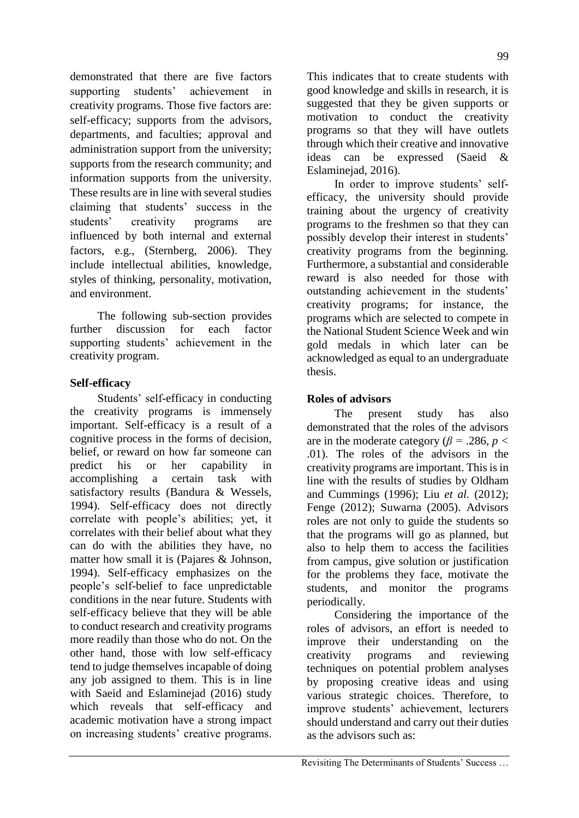demonstrated that there are five factors supporting students' achievement in creativity programs. Those five factors are: self-efficacy; supports from the advisors, departments, and faculties; approval and administration support from the university; supports from the research community; and information supports from the university. These results are in line with several studies claiming that students' success in the students' creativity programs are influenced by both internal and external factors, e.g., (Sternberg, 2006). They include intellectual abilities, knowledge, styles of thinking, personality, motivation, and environment.

The following sub-section provides further discussion for each factor supporting students' achievement in the creativity program.

### **Self-efficacy**

Students' self-efficacy in conducting the creativity programs is immensely important. Self-efficacy is a result of a cognitive process in the forms of decision, belief, or reward on how far someone can predict his or her capability in accomplishing a certain task with satisfactory results (Bandura & Wessels, 1994). Self-efficacy does not directly correlate with people's abilities; yet, it correlates with their belief about what they can do with the abilities they have, no matter how small it is (Pajares & Johnson, 1994). Self-efficacy emphasizes on the people's self-belief to face unpredictable conditions in the near future. Students with self-efficacy believe that they will be able to conduct research and creativity programs more readily than those who do not. On the other hand, those with low self-efficacy tend to judge themselves incapable of doing any job assigned to them. This is in line with Saeid and Eslaminejad (2016) study which reveals that self-efficacy and academic motivation have a strong impact on increasing students' creative programs.

This indicates that to create students with good knowledge and skills in research, it is suggested that they be given supports or motivation to conduct the creativity programs so that they will have outlets through which their creative and innovative ideas can be expressed (Saeid & Eslaminejad, 2016).

In order to improve students' selfefficacy, the university should provide training about the urgency of creativity programs to the freshmen so that they can possibly develop their interest in students' creativity programs from the beginning. Furthermore, a substantial and considerable reward is also needed for those with outstanding achievement in the students' creativity programs; for instance, the programs which are selected to compete in the National Student Science Week and win gold medals in which later can be acknowledged as equal to an undergraduate thesis.

### **Roles of advisors**

The present study has also demonstrated that the roles of the advisors are in the moderate category ( $\beta$  = .286, *p* < .01). The roles of the advisors in the creativity programs are important. This is in line with the results of studies by Oldham and Cummings (1996); Liu *et al.* (2012); Fenge (2012); Suwarna (2005). Advisors roles are not only to guide the students so that the programs will go as planned, but also to help them to access the facilities from campus, give solution or justification for the problems they face, motivate the students, and monitor the programs periodically.

Considering the importance of the roles of advisors, an effort is needed to improve their understanding on the creativity programs and reviewing techniques on potential problem analyses by proposing creative ideas and using various strategic choices. Therefore, to improve students' achievement, lecturers should understand and carry out their duties as the advisors such as: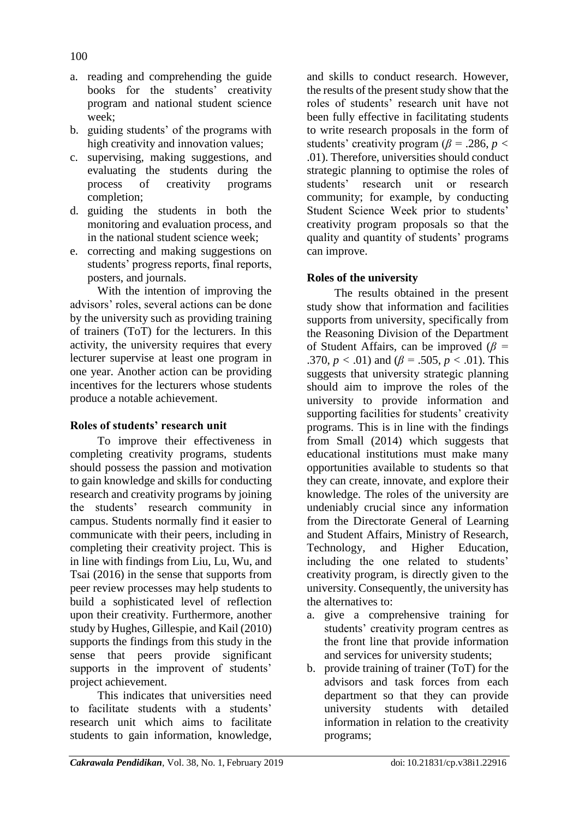- a. reading and comprehending the guide books for the students' creativity program and national student science week;
- b. guiding students' of the programs with high creativity and innovation values;
- c. supervising, making suggestions, and evaluating the students during the process of creativity programs completion;
- d. guiding the students in both the monitoring and evaluation process, and in the national student science week;
- e. correcting and making suggestions on students' progress reports, final reports, posters, and journals.

With the intention of improving the advisors' roles, several actions can be done by the university such as providing training of trainers (ToT) for the lecturers. In this activity, the university requires that every lecturer supervise at least one program in one year. Another action can be providing incentives for the lecturers whose students produce a notable achievement.

### **Roles of students' research unit**

To improve their effectiveness in completing creativity programs, students should possess the passion and motivation to gain knowledge and skills for conducting research and creativity programs by joining the students' research community in campus. Students normally find it easier to communicate with their peers, including in completing their creativity project. This is in line with findings from Liu, Lu, Wu, and Tsai (2016) in the sense that supports from peer review processes may help students to build a sophisticated level of reflection upon their creativity. Furthermore, another study by Hughes, Gillespie, and Kail (2010) supports the findings from this study in the sense that peers provide significant supports in the improvent of students' project achievement.

This indicates that universities need to facilitate students with a students' research unit which aims to facilitate students to gain information, knowledge,

and skills to conduct research. However, the results of the present study show that the roles of students' research unit have not been fully effective in facilitating students to write research proposals in the form of students' creativity program ( $\beta$  = .286, *p* < .01). Therefore, universities should conduct strategic planning to optimise the roles of students' research unit or research community; for example, by conducting Student Science Week prior to students' creativity program proposals so that the quality and quantity of students' programs can improve.

### **Roles of the university**

The results obtained in the present study show that information and facilities supports from university, specifically from the Reasoning Division of the Department of Student Affairs, can be improved (*β =*  .370,  $p < .01$ ) and ( $\beta = .505$ ,  $p < .01$ ). This suggests that university strategic planning should aim to improve the roles of the university to provide information and supporting facilities for students' creativity programs. This is in line with the findings from Small (2014) which suggests that educational institutions must make many opportunities available to students so that they can create, innovate, and explore their knowledge. The roles of the university are undeniably crucial since any information from the Directorate General of Learning and Student Affairs, Ministry of Research, Technology, and Higher Education, including the one related to students' creativity program, is directly given to the university. Consequently, the university has the alternatives to:

- a. give a comprehensive training for students' creativity program centres as the front line that provide information and services for university students;
- b. provide training of trainer (ToT) for the advisors and task forces from each department so that they can provide university students with detailed information in relation to the creativity programs;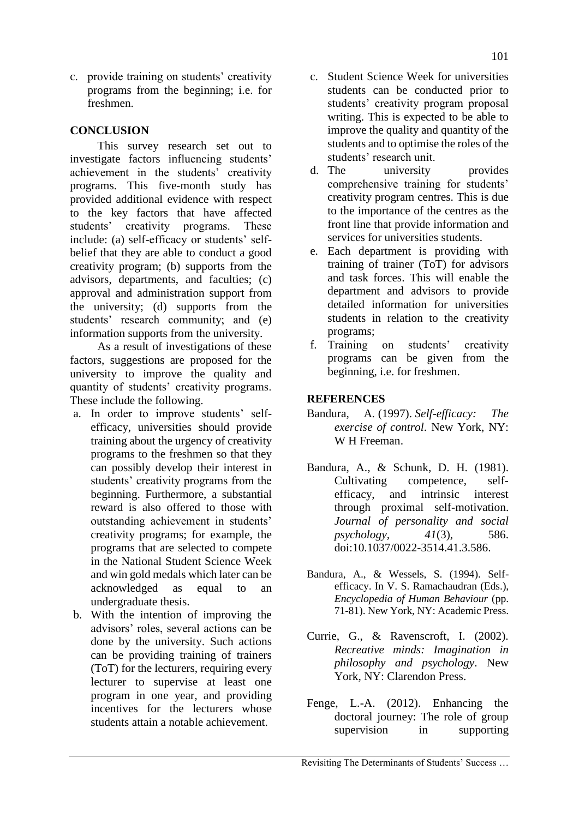c. provide training on students' creativity programs from the beginning; i.e. for freshmen.

# **CONCLUSION**

This survey research set out to investigate factors influencing students' achievement in the students' creativity programs. This five-month study has provided additional evidence with respect to the key factors that have affected students' creativity programs. These include: (a) self-efficacy or students' selfbelief that they are able to conduct a good creativity program; (b) supports from the advisors, departments, and faculties; (c) approval and administration support from the university; (d) supports from the students' research community; and (e) information supports from the university.

As a result of investigations of these factors, suggestions are proposed for the university to improve the quality and quantity of students' creativity programs. These include the following.

- a. In order to improve students' selfefficacy, universities should provide training about the urgency of creativity programs to the freshmen so that they can possibly develop their interest in students' creativity programs from the beginning. Furthermore, a substantial reward is also offered to those with outstanding achievement in students' creativity programs; for example, the programs that are selected to compete in the National Student Science Week and win gold medals which later can be acknowledged as equal to an undergraduate thesis.
- b. With the intention of improving the advisors' roles, several actions can be done by the university. Such actions can be providing training of trainers (ToT) for the lecturers, requiring every lecturer to supervise at least one program in one year, and providing incentives for the lecturers whose students attain a notable achievement.
- c. Student Science Week for universities students can be conducted prior to students' creativity program proposal writing. This is expected to be able to improve the quality and quantity of the students and to optimise the roles of the students' research unit.<br>
d. The university
- university provides comprehensive training for students' creativity program centres. This is due to the importance of the centres as the front line that provide information and services for universities students.
- e. Each department is providing with training of trainer (ToT) for advisors and task forces. This will enable the department and advisors to provide detailed information for universities students in relation to the creativity programs;
- f. Training on students' creativity programs can be given from the beginning, i.e. for freshmen.

### **REFERENCES**

- Bandura, A*.* (1997). *Self-efficacy: The exercise of control*. New York, NY: W H Freeman.
- Bandura, A., & Schunk, D. H. (1981). Cultivating competence, selfefficacy, and intrinsic interest through proximal self-motivation. *Journal of personality and social psychology, 41*(3), 586. doi:10.1037/0022-3514.41.3.586.
- Bandura, A., & Wessels, S. (1994). Selfefficacy. In V. S. Ramachaudran (Eds.), *Encyclopedia of Human Behaviour* (pp. 71-81). New York, NY: Academic Press.
- Currie, G., & Ravenscroft, I. (2002). *Recreative minds: Imagination in philosophy and psychology*. New York, NY: Clarendon Press.
- Fenge, L.-A. (2012). Enhancing the doctoral journey: The role of group supervision in supporting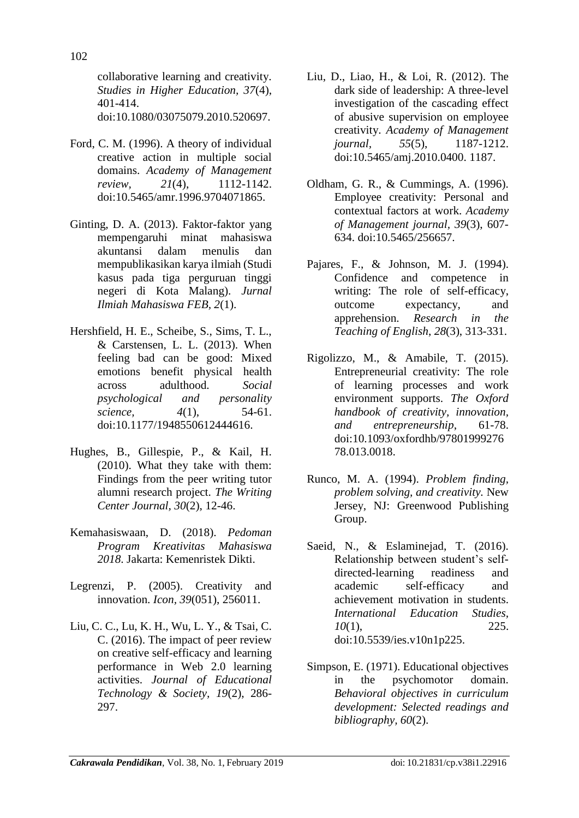collaborative learning and creativity. *Studies in Higher Education, 37*(4), 401-414. doi:10.1080/03075079.2010.520697.

- Ford, C. M. (1996). A theory of individual creative action in multiple social domains. *Academy of Management review, 21*(4), 1112-1142. doi:10.5465/amr.1996.9704071865.
- Ginting, D. A. (2013). Faktor-faktor yang mempengaruhi minat mahasiswa akuntansi dalam menulis dan mempublikasikan karya ilmiah (Studi kasus pada tiga perguruan tinggi negeri di Kota Malang). *Jurnal Ilmiah Mahasiswa FEB, 2*(1).
- Hershfield, H. E., Scheibe, S., Sims, T. L., & Carstensen, L. L. (2013). When feeling bad can be good: Mixed emotions benefit physical health across adulthood. *Social psychological and personality science, 4*(1), 54-61. doi:10.1177/1948550612444616.
- Hughes, B., Gillespie, P., & Kail, H. (2010). What they take with them: Findings from the peer writing tutor alumni research project. *The Writing Center Journal, 30*(2), 12-46.
- Kemahasiswaan, D. (2018). *Pedoman Program Kreativitas Mahasiswa 2018*. Jakarta: Kemenristek Dikti.
- Legrenzi, P. (2005). Creativity and innovation. *Icon, 39*(051), 256011.
- Liu, C. C., Lu, K. H., Wu, L. Y., & Tsai, C. C. (2016). The impact of peer review on creative self-efficacy and learning performance in Web 2.0 learning activities. *Journal of Educational Technology & Society, 19*(2), 286- 297.
- Liu, D., Liao, H., & Loi, R. (2012). The dark side of leadership: A three-level investigation of the cascading effect of abusive supervision on employee creativity. *Academy of Management journal, 55*(5), 1187-1212. doi:10.5465/amj.2010.0400. 1187.
- Oldham, G. R., & Cummings, A. (1996). Employee creativity: Personal and contextual factors at work. *Academy of Management journal, 39*(3), 607- 634. doi:10.5465/256657.
- Pajares, F., & Johnson, M. J. (1994). Confidence and competence in writing: The role of self-efficacy, outcome expectancy, and apprehension. *Research in the Teaching of English*, *28*(3), 313-331.
- Rigolizzo, M., & Amabile, T. (2015). Entrepreneurial creativity: The role of learning processes and work environment supports. *The Oxford handbook of creativity, innovation, and entrepreneurship*, 61-78. doi:10.1093/oxfordhb/97801999276 78.013.0018.
- Runco, M. A. (1994). *Problem finding, problem solving, and creativity.* New Jersey, NJ: Greenwood Publishing Group.
- Saeid, N., & Eslaminejad, T. (2016). Relationship between student's selfdirected-learning readiness and academic self-efficacy and achievement motivation in students. *International Education Studies, 10*(1), 225. doi:10.5539/ies.v10n1p225.
- Simpson, E. (1971). Educational objectives in the psychomotor domain. *Behavioral objectives in curriculum development: Selected readings and bibliography, 60*(2).